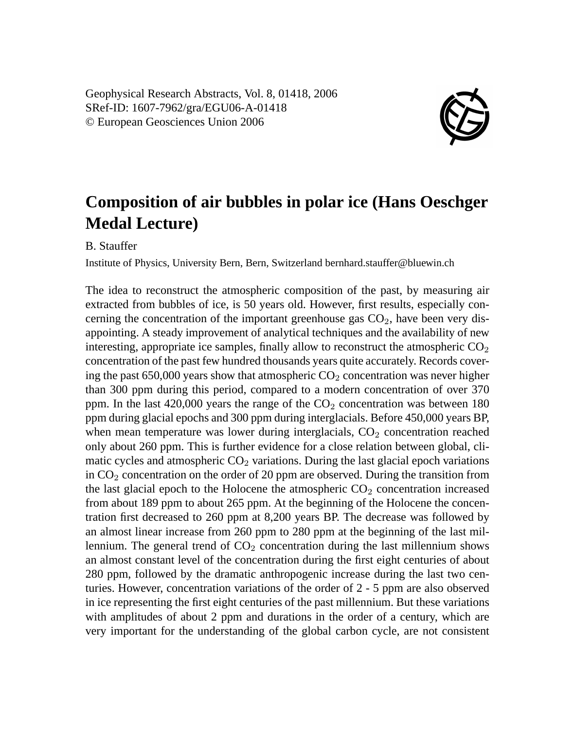

## **Composition of air bubbles in polar ice (Hans Oeschger Medal Lecture)**

B. Stauffer

Institute of Physics, University Bern, Bern, Switzerland bernhard.stauffer@bluewin.ch

The idea to reconstruct the atmospheric composition of the past, by measuring air extracted from bubbles of ice, is 50 years old. However, first results, especially concerning the concentration of the important greenhouse gas  $CO<sub>2</sub>$ , have been very disappointing. A steady improvement of analytical techniques and the availability of new interesting, appropriate ice samples, finally allow to reconstruct the atmospheric  $CO<sub>2</sub>$ concentration of the past few hundred thousands years quite accurately. Records covering the past  $650,000$  years show that atmospheric  $CO<sub>2</sub>$  concentration was never higher than 300 ppm during this period, compared to a modern concentration of over 370 ppm. In the last  $420,000$  years the range of the  $CO<sub>2</sub>$  concentration was between 180 ppm during glacial epochs and 300 ppm during interglacials. Before 450,000 years BP, when mean temperature was lower during interglacials,  $CO<sub>2</sub>$  concentration reached only about 260 ppm. This is further evidence for a close relation between global, climatic cycles and atmospheric  $CO<sub>2</sub>$  variations. During the last glacial epoch variations in  $CO<sub>2</sub>$  concentration on the order of 20 ppm are observed. During the transition from the last glacial epoch to the Holocene the atmospheric  $CO<sub>2</sub>$  concentration increased from about 189 ppm to about 265 ppm. At the beginning of the Holocene the concentration first decreased to 260 ppm at 8,200 years BP. The decrease was followed by an almost linear increase from 260 ppm to 280 ppm at the beginning of the last millennium. The general trend of  $CO<sub>2</sub>$  concentration during the last millennium shows an almost constant level of the concentration during the first eight centuries of about 280 ppm, followed by the dramatic anthropogenic increase during the last two centuries. However, concentration variations of the order of 2 - 5 ppm are also observed in ice representing the first eight centuries of the past millennium. But these variations with amplitudes of about 2 ppm and durations in the order of a century, which are very important for the understanding of the global carbon cycle, are not consistent